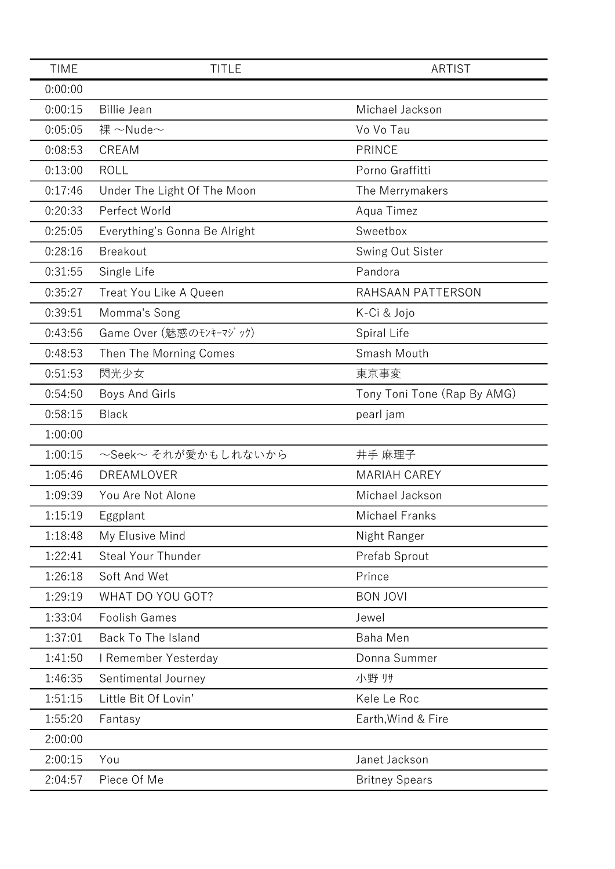| <b>TIME</b> | <b>TITLE</b>                  | <b>ARTIST</b>               |
|-------------|-------------------------------|-----------------------------|
| 0:00:00     |                               |                             |
| 0:00:15     | <b>Billie Jean</b>            | Michael Jackson             |
| 0:05:05     | 裸 ~Nude~                      | Vo Vo Tau                   |
| 0:08:53     | CREAM                         | <b>PRINCE</b>               |
| 0:13:00     | <b>ROLL</b>                   | Porno Graffitti             |
| 0:17:46     | Under The Light Of The Moon   | The Merrymakers             |
| 0:20:33     | Perfect World                 | Aqua Timez                  |
| 0:25:05     | Everything's Gonna Be Alright | Sweetbox                    |
| 0:28:16     | <b>Breakout</b>               | Swing Out Sister            |
| 0:31:55     | Single Life                   | Pandora                     |
| 0:35:27     | Treat You Like A Queen        | RAHSAAN PATTERSON           |
| 0:39:51     | Momma's Song                  | K-Ci & Jojo                 |
| 0:43:56     | Game Over (魅惑のモンキーマジック)       | Spiral Life                 |
| 0:48:53     | Then The Morning Comes        | Smash Mouth                 |
| 0:51:53     | 閃光少女                          | 東京事変                        |
| 0:54:50     | Boys And Girls                | Tony Toni Tone (Rap By AMG) |
| 0:58:15     | <b>Black</b>                  | pearl jam                   |
| 1:00:00     |                               |                             |
| 1:00:15     | ~Seek~ それが愛かもしれないから           | 井手 麻理子                      |
| 1:05:46     | DREAMLOVER                    | <b>MARIAH CAREY</b>         |
| 1:09:39     | You Are Not Alone             | Michael Jackson             |
| 1:15:19     | Eggplant                      | <b>Michael Franks</b>       |
| 1:18:48     | My Elusive Mind               | Night Ranger                |
| 1:22:41     | <b>Steal Your Thunder</b>     | Prefab Sprout               |
| 1:26:18     | Soft And Wet                  | Prince                      |
| 1:29:19     | WHAT DO YOU GOT?              | <b>BON JOVI</b>             |
| 1:33:04     | <b>Foolish Games</b>          | Jewel                       |
| 1:37:01     | Back To The Island            | <b>Baha Men</b>             |
| 1:41:50     | I Remember Yesterday          | Donna Summer                |
| 1:46:35     | Sentimental Journey           | 小野 リサ                       |
| 1:51:15     | Little Bit Of Lovin'          | Kele Le Roc                 |
| 1:55:20     | Fantasy                       | Earth, Wind & Fire          |
| 2:00:00     |                               |                             |
| 2:00:15     | You                           | Janet Jackson               |
| 2:04:57     | Piece Of Me                   | <b>Britney Spears</b>       |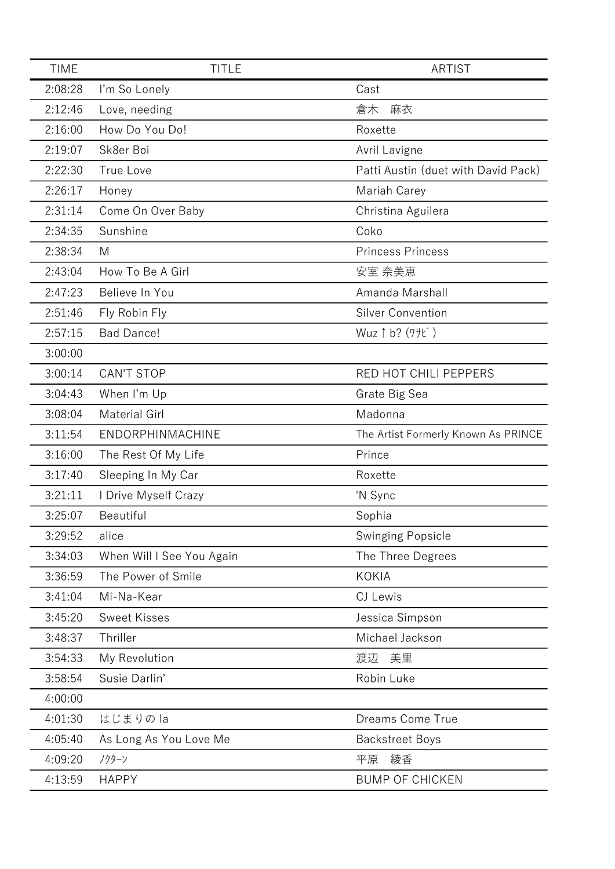| <b>TIME</b> | <b>TITLE</b>              | <b>ARTIST</b>                       |
|-------------|---------------------------|-------------------------------------|
| 2:08:28     | I'm So Lonely             | Cast                                |
| 2:12:46     | Love, needing             | 倉木<br>麻衣                            |
| 2:16:00     | How Do You Do!            | Roxette                             |
| 2:19:07     | Sk8er Boi                 | Avril Lavigne                       |
| 2:22:30     | True Love                 | Patti Austin (duet with David Pack) |
| 2:26:17     | Honey                     | Mariah Carey                        |
| 2:31:14     | Come On Over Baby         | Christina Aguilera                  |
| 2:34:35     | Sunshine                  | Coko                                |
| 2:38:34     | M                         | <b>Princess Princess</b>            |
| 2:43:04     | How To Be A Girl          | 安室 奈美恵                              |
| 2:47:23     | Believe In You            | Amanda Marshall                     |
| 2:51:46     | Fly Robin Fly             | <b>Silver Convention</b>            |
| 2:57:15     | <b>Bad Dance!</b>         | Wuz 1 b? (7+t)                      |
| 3:00:00     |                           |                                     |
| 3:00:14     | <b>CAN'T STOP</b>         | RED HOT CHILI PEPPERS               |
| 3:04:43     | When I'm Up               | Grate Big Sea                       |
| 3:08:04     | <b>Material Girl</b>      | Madonna                             |
| 3:11:54     | ENDORPHINMACHINE          | The Artist Formerly Known As PRINCE |
| 3:16:00     | The Rest Of My Life       | Prince                              |
| 3:17:40     | Sleeping In My Car        | Roxette                             |
| 3:21:11     | I Drive Myself Crazy      | 'N Sync                             |
| 3:25:07     | Beautiful                 | Sophia                              |
| 3:29:52     | alice                     | <b>Swinging Popsicle</b>            |
| 3:34:03     | When Will I See You Again | The Three Degrees                   |
| 3:36:59     | The Power of Smile        | <b>KOKIA</b>                        |
| 3:41:04     | Mi-Na-Kear                | CJ Lewis                            |
| 3:45:20     | <b>Sweet Kisses</b>       | Jessica Simpson                     |
| 3:48:37     | Thriller                  | Michael Jackson                     |
| 3:54:33     | My Revolution             | 美里<br>渡辺                            |
| 3:58:54     | Susie Darlin'             | Robin Luke                          |
| 4:00:00     |                           |                                     |
| 4:01:30     | はじまりのla                   | Dreams Come True                    |
| 4:05:40     | As Long As You Love Me    | <b>Backstreet Boys</b>              |
| 4:09:20     | ノクターン                     | 平原<br>綾香                            |
| 4:13:59     | <b>HAPPY</b>              | <b>BUMP OF CHICKEN</b>              |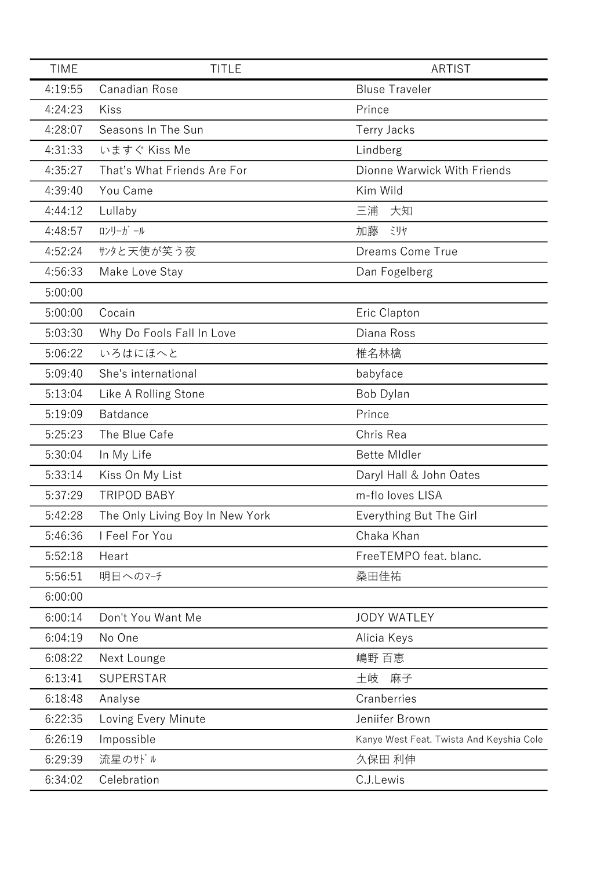| <b>TIME</b> | <b>TITLE</b>                    | <b>ARTIST</b>                            |
|-------------|---------------------------------|------------------------------------------|
| 4:19:55     | Canadian Rose                   | <b>Bluse Traveler</b>                    |
| 4:24:23     | Kiss                            | Prince                                   |
| 4:28:07     | Seasons In The Sun              | <b>Terry Jacks</b>                       |
| 4:31:33     | いますぐ Kiss Me                    | Lindberg                                 |
| 4:35:27     | That's What Friends Are For     | Dionne Warwick With Friends              |
| 4:39:40     | You Came                        | Kim Wild                                 |
| 4:44:12     | Lullaby                         | 三浦<br>大知                                 |
| 4:48:57     | ロンリーガール                         | 加藤<br>ミリヤ                                |
| 4:52:24     | サンタと天使が笑う夜                      | Dreams Come True                         |
| 4:56:33     | Make Love Stay                  | Dan Fogelberg                            |
| 5:00:00     |                                 |                                          |
| 5:00:00     | Cocain                          | Eric Clapton                             |
| 5:03:30     | Why Do Fools Fall In Love       | Diana Ross                               |
| 5:06:22     | いろはにほへと                         | 椎名林檎                                     |
| 5:09:40     | She's international             | babyface                                 |
| 5:13:04     | Like A Rolling Stone            | Bob Dylan                                |
| 5:19:09     | Batdance                        | Prince                                   |
| 5:25:23     | The Blue Cafe                   | Chris Rea                                |
| 5:30:04     | In My Life                      | <b>Bette Midler</b>                      |
| 5:33:14     | Kiss On My List                 | Daryl Hall & John Oates                  |
| 5:37:29     | <b>TRIPOD BABY</b>              | m-flo loves LISA                         |
| 5:42:28     | The Only Living Boy In New York | Everything But The Girl                  |
| 5:46:36     | I Feel For You                  | Chaka Khan                               |
| 5:52:18     | Heart                           | FreeTEMPO feat. blanc.                   |
| 5:56:51     | 明日へのマチ                          | 桑田佳祐                                     |
| 6:00:00     |                                 |                                          |
| 6:00:14     | Don't You Want Me               | <b>JODY WATLEY</b>                       |
| 6:04:19     | No One                          | Alicia Keys                              |
| 6:08:22     | Next Lounge                     | 嶋野 百恵                                    |
| 6:13:41     | <b>SUPERSTAR</b>                | 土岐<br>麻子                                 |
| 6:18:48     | Analyse                         | Cranberries                              |
| 6:22:35     | Loving Every Minute             | Jeniifer Brown                           |
| 6:26:19     | Impossible                      | Kanye West Feat. Twista And Keyshia Cole |
| 6:29:39     | 流星のサドル                          | 久保田 利伸                                   |
| 6:34:02     | Celebration                     | C.J.Lewis                                |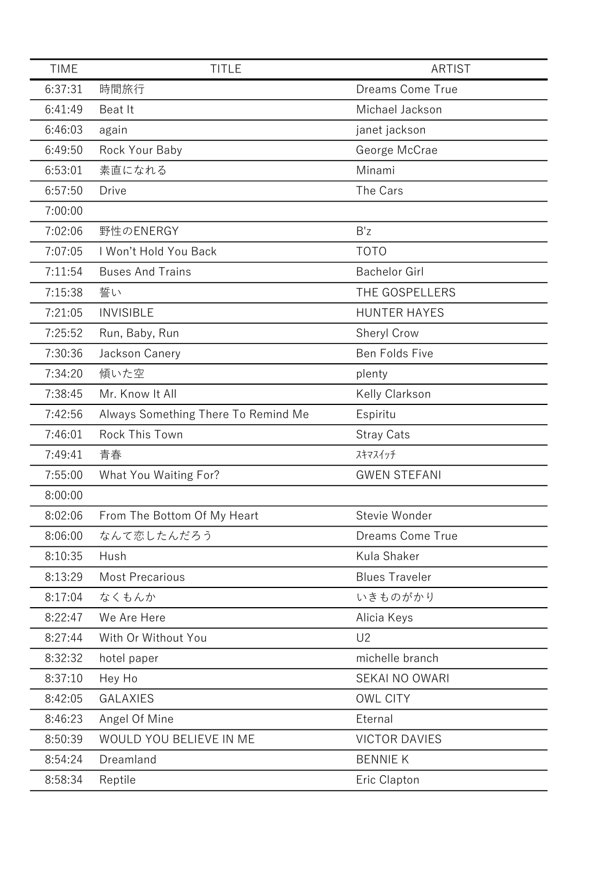| <b>TIME</b> | <b>TITLE</b>                        | <b>ARTIST</b>           |
|-------------|-------------------------------------|-------------------------|
| 6:37:31     | 時間旅行                                | <b>Dreams Come True</b> |
| 6:41:49     | Beat It                             | Michael Jackson         |
| 6:46:03     | again                               | janet jackson           |
| 6:49:50     | Rock Your Baby                      | George McCrae           |
| 6:53:01     | 素直になれる                              | Minami                  |
| 6:57:50     | <b>Drive</b>                        | The Cars                |
| 7:00:00     |                                     |                         |
| 7:02:06     | 野性のENERGY                           | B'z                     |
| 7:07:05     | I Won't Hold You Back               | <b>TOTO</b>             |
| 7:11:54     | <b>Buses And Trains</b>             | <b>Bachelor Girl</b>    |
| 7:15:38     | 誓い                                  | THE GOSPELLERS          |
| 7:21:05     | <b>INVISIBLE</b>                    | <b>HUNTER HAYES</b>     |
| 7:25:52     | Run, Baby, Run                      | <b>Sheryl Crow</b>      |
| 7:30:36     | Jackson Canery                      | Ben Folds Five          |
| 7:34:20     | 傾いた空                                | plenty                  |
| 7:38:45     | Mr. Know It All                     | Kelly Clarkson          |
| 7:42:56     | Always Something There To Remind Me | Espiritu                |
| 7:46:01     | Rock This Town                      | <b>Stray Cats</b>       |
| 7:49:41     | 青春                                  | スキマスイッチ                 |
| 7:55:00     | What You Waiting For?               | <b>GWEN STEFANI</b>     |
| 8:00:00     |                                     |                         |
| 8:02:06     | From The Bottom Of My Heart         | Stevie Wonder           |
| 8:06:00     | なんて恋したんだろう                          | Dreams Come True        |
| 8:10:35     | Hush                                | Kula Shaker             |
| 8:13:29     | <b>Most Precarious</b>              | <b>Blues Traveler</b>   |
| 8:17:04     | なくもんか                               | いきものがかり                 |
| 8:22:47     | We Are Here                         | Alicia Keys             |
| 8:27:44     | With Or Without You                 | U <sub>2</sub>          |
| 8:32:32     | hotel paper                         | michelle branch         |
| 8:37:10     | Hey Ho                              | <b>SEKAI NO OWARI</b>   |
| 8:42:05     | <b>GALAXIES</b>                     | <b>OWL CITY</b>         |
| 8:46:23     | Angel Of Mine                       | Eternal                 |
| 8:50:39     | WOULD YOU BELIEVE IN ME             | <b>VICTOR DAVIES</b>    |
| 8:54:24     | Dreamland                           | <b>BENNIE K</b>         |
| 8:58:34     | Reptile                             | Eric Clapton            |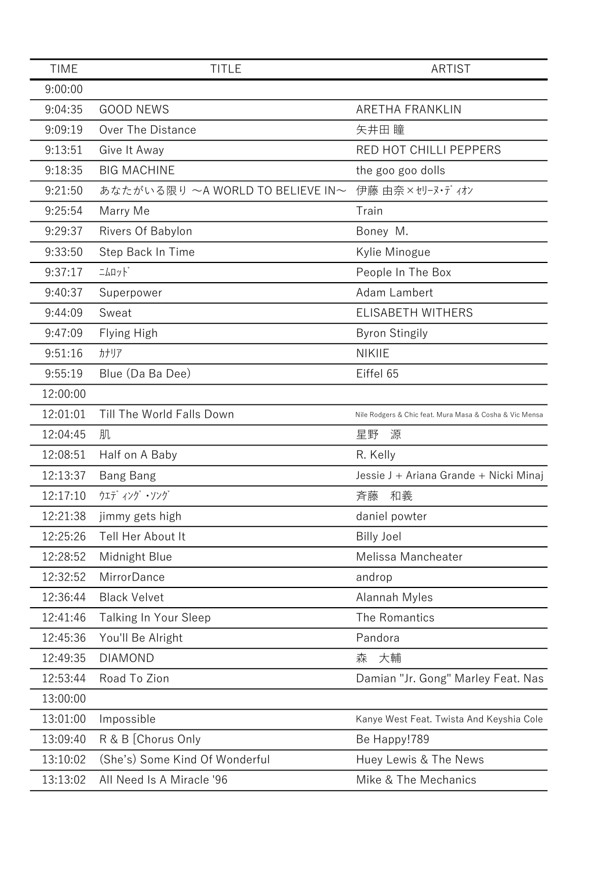| <b>TIME</b> | <b>TITLE</b>                     | <b>ARTIST</b>                                           |
|-------------|----------------------------------|---------------------------------------------------------|
| 9:00:00     |                                  |                                                         |
| 9:04:35     | <b>GOOD NEWS</b>                 | <b>ARETHA FRANKLIN</b>                                  |
| 9:09:19     | Over The Distance                | 矢井田 瞳                                                   |
| 9:13:51     | Give It Away                     | RED HOT CHILLI PEPPERS                                  |
| 9:18:35     | <b>BIG MACHINE</b>               | the goo goo dolls                                       |
| 9:21:50     | あなたがいる限り ~A WORLD TO BELIEVE IN~ | 伊藤 由奈×セリーヌ・ディオン                                         |
| 9:25:54     | Marry Me                         | Train                                                   |
| 9:29:37     | Rivers Of Babylon                | Boney M.                                                |
| 9:33:50     | Step Back In Time                | Kylie Minogue                                           |
| 9:37:17     | $\exists \text{up} \text{F}$     | People In The Box                                       |
| 9:40:37     | Superpower                       | Adam Lambert                                            |
| 9:44:09     | Sweat                            | ELISABETH WITHERS                                       |
| 9:47:09     | Flying High                      | <b>Byron Stingily</b>                                   |
| 9:51:16     | カナリア                             | <b>NIKIIE</b>                                           |
| 9:55:19     | Blue (Da Ba Dee)                 | Eiffel 65                                               |
| 12:00:00    |                                  |                                                         |
| 12:01:01    | Till The World Falls Down        | Nile Rodgers & Chic feat. Mura Masa & Cosha & Vic Mensa |
| 12:04:45    | 肌                                | 星野<br>源                                                 |
| 12:08:51    | Half on A Baby                   | R. Kelly                                                |
| 12:13:37    | <b>Bang Bang</b>                 | Jessie J + Ariana Grande + Nicki Minaj                  |
| 12:17:10    | ウェディング・ソング                       | 斉藤<br>和義                                                |
| 12:21:38    | jimmy gets high                  | daniel powter                                           |
| 12:25:26    | Tell Her About It                | <b>Billy Joel</b>                                       |
| 12:28:52    | Midnight Blue                    | Melissa Mancheater                                      |
| 12:32:52    | MirrorDance                      | androp                                                  |
| 12:36:44    | <b>Black Velvet</b>              | Alannah Myles                                           |
| 12:41:46    | <b>Talking In Your Sleep</b>     | The Romantics                                           |
| 12:45:36    | You'll Be Alright                | Pandora                                                 |
| 12:49:35    | <b>DIAMOND</b>                   | 森<br>大輔                                                 |
| 12:53:44    | Road To Zion                     | Damian "Jr. Gong" Marley Feat. Nas                      |
| 13:00:00    |                                  |                                                         |
| 13:01:00    | Impossible                       | Kanye West Feat. Twista And Keyshia Cole                |
| 13:09:40    | R & B [Chorus Only               | Be Happy!789                                            |
| 13:10:02    | (She's) Some Kind Of Wonderful   | Huey Lewis & The News                                   |
| 13:13:02    | All Need Is A Miracle '96        | Mike & The Mechanics                                    |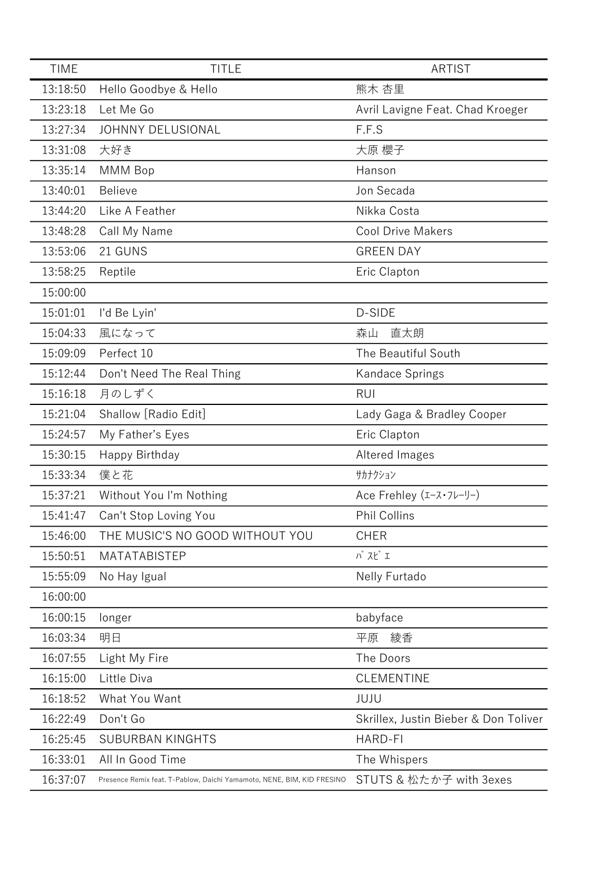| <b>TIME</b> | <b>TITLE</b>                                                           | <b>ARTIST</b>                                |
|-------------|------------------------------------------------------------------------|----------------------------------------------|
| 13:18:50    | Hello Goodbye & Hello                                                  | 熊木 杏里                                        |
| 13:23:18    | Let Me Go                                                              | Avril Lavigne Feat. Chad Kroeger             |
| 13:27:34    | JOHNNY DELUSIONAL                                                      | F.F.S                                        |
| 13:31:08    | 大好き                                                                    | 大原 櫻子                                        |
| 13:35:14    | MMM Bop                                                                | Hanson                                       |
| 13:40:01    | <b>Believe</b>                                                         | Jon Secada                                   |
| 13:44:20    | Like A Feather                                                         | Nikka Costa                                  |
| 13:48:28    | Call My Name                                                           | <b>Cool Drive Makers</b>                     |
| 13:53:06    | 21 GUNS                                                                | <b>GREEN DAY</b>                             |
| 13:58:25    | Reptile                                                                | Eric Clapton                                 |
| 15:00:00    |                                                                        |                                              |
| 15:01:01    | I'd Be Lyin'                                                           | D-SIDE                                       |
| 15:04:33    | 風になって                                                                  | 直太朗<br>森山                                    |
| 15:09:09    | Perfect 10                                                             | The Beautiful South                          |
| 15:12:44    | Don't Need The Real Thing                                              | Kandace Springs                              |
| 15:16:18    | 月のしずく                                                                  | <b>RUI</b>                                   |
| 15:21:04    | Shallow [Radio Edit]                                                   | Lady Gaga & Bradley Cooper                   |
| 15:24:57    | My Father's Eyes                                                       | Eric Clapton                                 |
| 15:30:15    | Happy Birthday                                                         | Altered Images                               |
| 15:33:34    | 僕と花                                                                    | サカナクション                                      |
| 15:37:21    | Without You I'm Nothing                                                | Ace Frehley $(I - \lambda \cdot 7\nu - \nu)$ |
| 15:41:47    | Can't Stop Loving You                                                  | Phil Collins                                 |
| 15:46:00    | THE MUSIC'S NO GOOD WITHOUT YOU                                        | <b>CHER</b>                                  |
| 15:50:51    | MATATABISTEP                                                           | $N$ $\lambda$ $\zeta$ $I$                    |
| 15:55:09    | No Hay Igual                                                           | Nelly Furtado                                |
| 16:00:00    |                                                                        |                                              |
| 16:00:15    | longer                                                                 | babyface                                     |
| 16:03:34    | 明日                                                                     | 平原<br>綾香                                     |
| 16:07:55    | Light My Fire                                                          | The Doors                                    |
| 16:15:00    | Little Diva                                                            | <b>CLEMENTINE</b>                            |
| 16:18:52    | What You Want                                                          | JUJU                                         |
| 16:22:49    | Don't Go                                                               | Skrillex, Justin Bieber & Don Toliver        |
| 16:25:45    | <b>SUBURBAN KINGHTS</b>                                                | <b>HARD-FI</b>                               |
| 16:33:01    | All In Good Time                                                       | The Whispers                                 |
| 16:37:07    | Presence Remix feat. T-Pablow, Daichi Yamamoto, NENE, BIM, KID FRESINO | STUTS & 松たか子 with 3exes                      |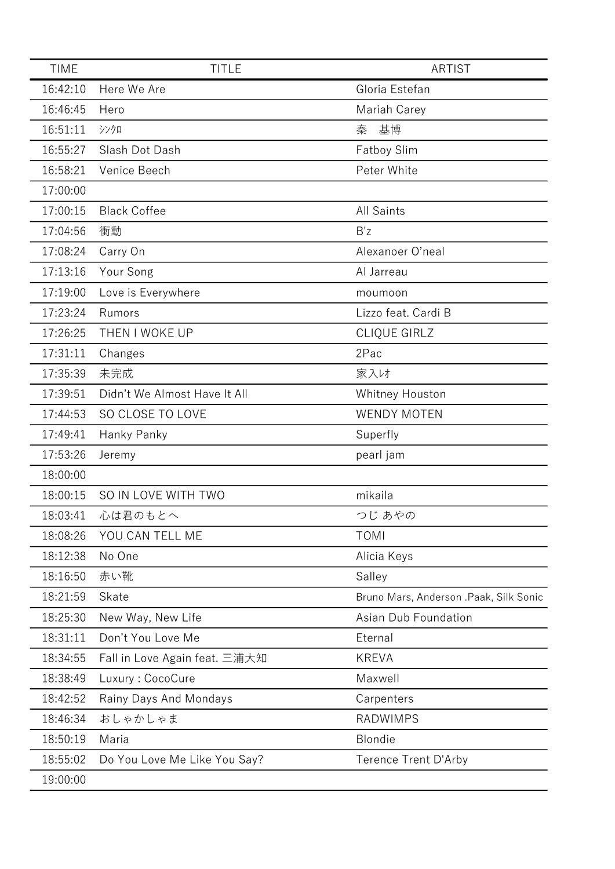| <b>TIME</b> | <b>TITLE</b>                  | <b>ARTIST</b>                          |
|-------------|-------------------------------|----------------------------------------|
| 16:42:10    | Here We Are                   | Gloria Estefan                         |
| 16:46:45    | Hero                          | Mariah Carey                           |
| 16:51:11    | シンクロ                          | 基博<br>秦                                |
| 16:55:27    | Slash Dot Dash                | <b>Fatboy Slim</b>                     |
| 16:58:21    | Venice Beech                  | Peter White                            |
| 17:00:00    |                               |                                        |
| 17:00:15    | <b>Black Coffee</b>           | <b>All Saints</b>                      |
| 17:04:56    | 衝動                            | B'z                                    |
| 17:08:24    | Carry On                      | Alexanoer O'neal                       |
| 17:13:16    | Your Song                     | Al Jarreau                             |
| 17:19:00    | Love is Everywhere            | moumoon                                |
| 17:23:24    | Rumors                        | Lizzo feat. Cardi B                    |
| 17:26:25    | THEN I WOKE UP                | CLIQUE GIRLZ                           |
| 17:31:11    | Changes                       | 2Pac                                   |
| 17:35:39    | 未完成                           | 家入け                                    |
| 17:39:51    | Didn't We Almost Have It All  | Whitney Houston                        |
| 17:44:53    | SO CLOSE TO LOVE              | <b>WENDY MOTEN</b>                     |
| 17:49:41    | Hanky Panky                   | Superfly                               |
| 17:53:26    | Jeremy                        | pearl jam                              |
| 18:00:00    |                               |                                        |
| 18:00:15    | SO IN LOVE WITH TWO           | mikaila                                |
| 18:03:41    | 心は君のもとへ                       | つじ あやの                                 |
| 18:08:26    | YOU CAN TELL ME               | <b>TOMI</b>                            |
| 18:12:38    | No One                        | Alicia Keys                            |
| 18:16:50    | 赤い靴                           | Salley                                 |
| 18:21:59    | Skate                         | Bruno Mars, Anderson .Paak, Silk Sonic |
| 18:25:30    | New Way, New Life             | Asian Dub Foundation                   |
| 18:31:11    | Don't You Love Me             | Eternal                                |
| 18:34:55    | Fall in Love Again feat. 三浦大知 | <b>KREVA</b>                           |
| 18:38:49    | Luxury: CocoCure              | Maxwell                                |
| 18:42:52    | Rainy Days And Mondays        | Carpenters                             |
| 18:46:34    | おしゃかしゃま                       | <b>RADWIMPS</b>                        |
| 18:50:19    | Maria                         | Blondie                                |
| 18:55:02    | Do You Love Me Like You Say?  | Terence Trent D'Arby                   |
| 19:00:00    |                               |                                        |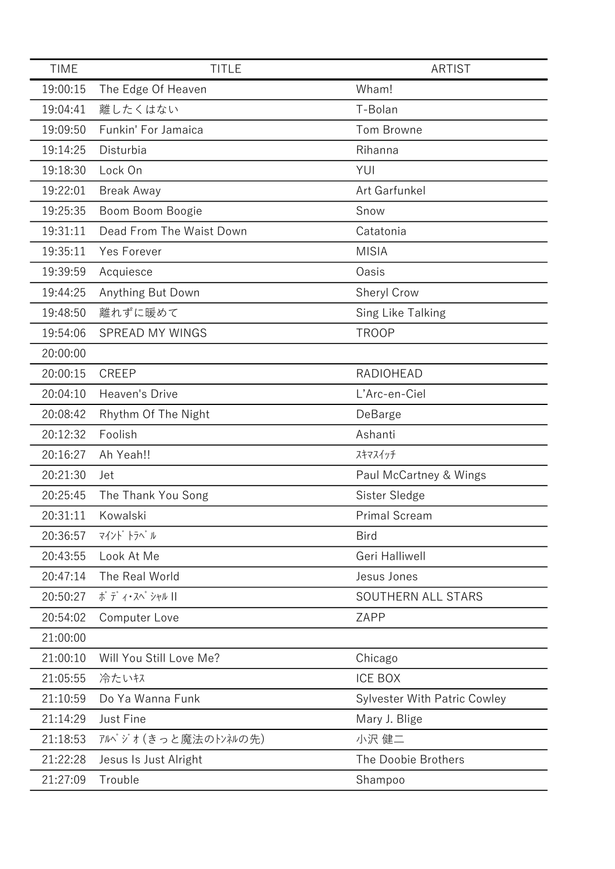| <b>TIME</b> | <b>TITLE</b>             | <b>ARTIST</b>                       |
|-------------|--------------------------|-------------------------------------|
| 19:00:15    | The Edge Of Heaven       | Wham!                               |
| 19:04:41    | 離したくはない                  | T-Bolan                             |
| 19:09:50    | Funkin' For Jamaica      | Tom Browne                          |
| 19:14:25    | Disturbia                | Rihanna                             |
| 19:18:30    | Lock On                  | YUI                                 |
| 19:22:01    | <b>Break Away</b>        | Art Garfunkel                       |
| 19:25:35    | Boom Boom Boogie         | Snow                                |
| 19:31:11    | Dead From The Waist Down | Catatonia                           |
| 19:35:11    | Yes Forever              | <b>MISIA</b>                        |
| 19:39:59    | Acquiesce                | Oasis                               |
| 19:44:25    | Anything But Down        | Sheryl Crow                         |
| 19:48:50    | 離れずに暖めて                  | Sing Like Talking                   |
| 19:54:06    | SPREAD MY WINGS          | <b>TROOP</b>                        |
| 20:00:00    |                          |                                     |
| 20:00:15    | <b>CREEP</b>             | <b>RADIOHEAD</b>                    |
| 20:04:10    | Heaven's Drive           | L'Arc-en-Ciel                       |
| 20:08:42    | Rhythm Of The Night      | DeBarge                             |
| 20:12:32    | Foolish                  | Ashanti                             |
| 20:16:27    | Ah Yeah!!                | スキマスイッチ                             |
| 20:21:30    | Jet                      | Paul McCartney & Wings              |
| 20:25:45    | The Thank You Song       | Sister Sledge                       |
| 20:31:11    | Kowalski                 | <b>Primal Scream</b>                |
| 20:36:57    | マインド トラベル                | <b>Bird</b>                         |
| 20:43:55    | Look At Me               | Geri Halliwell                      |
| 20:47:14    | The Real World           | Jesus Jones                         |
| 20:50:27    | ボディ・スペ シャル               | SOUTHERN ALL STARS                  |
| 20:54:02    | Computer Love            | ZAPP                                |
| 21:00:00    |                          |                                     |
| 21:00:10    | Will You Still Love Me?  | Chicago                             |
| 21:05:55    | 冷たいキス                    | <b>ICE BOX</b>                      |
| 21:10:59    | Do Ya Wanna Funk         | <b>Sylvester With Patric Cowley</b> |
| 21:14:29    | Just Fine                | Mary J. Blige                       |
| 21:18:53    | アルペジオ (きっと魔法のトンネルの先)     | 小沢 健二                               |
| 21:22:28    | Jesus Is Just Alright    | The Doobie Brothers                 |
| 21:27:09    | Trouble                  | Shampoo                             |